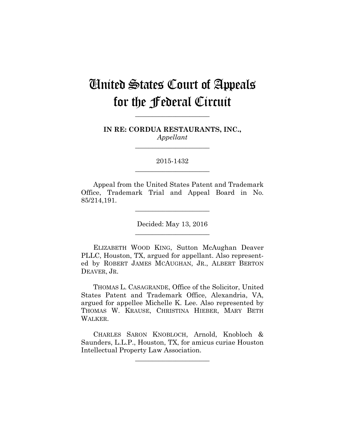# United States Court of Appeals for the Federal Circuit

**IN RE: CORDUA RESTAURANTS, INC.,** *Appellant*

**\_\_\_\_\_\_\_\_\_\_\_\_\_\_\_\_\_\_\_\_\_\_** 

**\_\_\_\_\_\_\_\_\_\_\_\_\_\_\_\_\_\_\_\_\_\_** 

2015-1432 **\_\_\_\_\_\_\_\_\_\_\_\_\_\_\_\_\_\_\_\_\_\_** 

Appeal from the United States Patent and Trademark Office, Trademark Trial and Appeal Board in No. 85/214,191.

**\_\_\_\_\_\_\_\_\_\_\_\_\_\_\_\_\_\_\_\_\_\_** 

Decided: May 13, 2016 **\_\_\_\_\_\_\_\_\_\_\_\_\_\_\_\_\_\_\_\_\_\_** 

ELIZABETH WOOD KING, Sutton McAughan Deaver PLLC, Houston, TX, argued for appellant. Also represented by ROBERT JAMES MCAUGHAN, JR., ALBERT BERTON DEAVER, JR.

THOMAS L. CASAGRANDE, Office of the Solicitor, United States Patent and Trademark Office, Alexandria, VA, argued for appellee Michelle K. Lee. Also represented by THOMAS W. KRAUSE, CHRISTINA HIEBER, MARY BETH WALKER.

CHARLES SARON KNOBLOCH, Arnold, Knobloch & Saunders, L.L.P., Houston, TX, for amicus curiae Houston Intellectual Property Law Association.

**\_\_\_\_\_\_\_\_\_\_\_\_\_\_\_\_\_\_\_\_\_\_**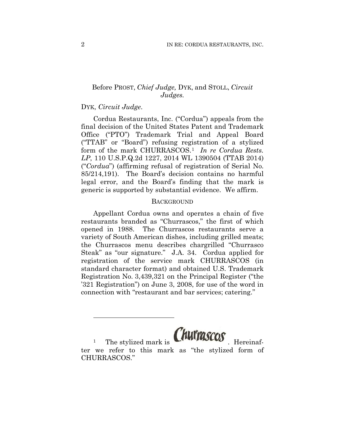## Before PROST, *Chief Judge,* DYK, and STOLL, *Circuit Judges.*

## DYK, *Circuit Judge*.

<u>.</u>

Cordua Restaurants, Inc. ("Cordua") appeals from the final decision of the United States Patent and Trademark Office ("PTO") Trademark Trial and Appeal Board ("TTAB" or "Board") refusing registration of a stylized form of the mark CHURRASCOS.1 *In re Cordua Rests. LP*, 110 U.S.P.Q.2d 1227, 2014 WL 1390504 (TTAB 2014) ("*Cordua*") (affirming refusal of registration of Serial No. 85/214,191). The Board's decision contains no harmful legal error, and the Board's finding that the mark is generic is supported by substantial evidence. We affirm.

## **BACKGROUND**

Appellant Cordua owns and operates a chain of five restaurants branded as "Churrascos," the first of which opened in 1988. The Churrascos restaurants serve a variety of South American dishes, including grilled meats; the Churrascos menu describes chargrilled "Churrasco Steak" as "our signature." J.A. 34. Cordua applied for registration of the service mark CHURRASCOS (in standard character format) and obtained U.S. Trademark Registration No. 3,439,321 on the Principal Register ("the '321 Registration") on June 3, 2008, for use of the word in connection with "restaurant and bar services; catering."

The stylized mark is **CHUITASCOS** ter we refer to this mark as "the stylized form of CHURRASCOS."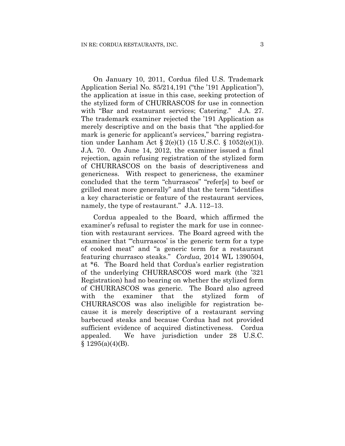On January 10, 2011, Cordua filed U.S. Trademark Application Serial No. 85/214,191 ("the '191 Application"), the application at issue in this case, seeking protection of the stylized form of CHURRASCOS for use in connection with "Bar and restaurant services; Catering." J.A. 27. The trademark examiner rejected the '191 Application as merely descriptive and on the basis that "the applied-for mark is generic for applicant's services," barring registration under Lanham Act  $\S 2(e)(1)$  (15 U.S.C.  $\S 1052(e)(1)$ ). J.A. 70. On June 14, 2012, the examiner issued a final rejection, again refusing registration of the stylized form of CHURRASCOS on the basis of descriptiveness and genericness. With respect to genericness, the examiner concluded that the term "churrascos" "refer[s] to beef or grilled meat more generally" and that the term "identifies a key characteristic or feature of the restaurant services, namely, the type of restaurant." J.A. 112–13.

Cordua appealed to the Board, which affirmed the examiner's refusal to register the mark for use in connection with restaurant services. The Board agreed with the examiner that "churrascos' is the generic term for a type of cooked meat" and "a generic term for a restaurant featuring churrasco steaks." *Cordua*, 2014 WL 1390504, at \*6. The Board held that Cordua's earlier registration of the underlying CHURRASCOS word mark (the '321 Registration) had no bearing on whether the stylized form of CHURRASCOS was generic. The Board also agreed with the examiner that the stylized form of CHURRASCOS was also ineligible for registration because it is merely descriptive of a restaurant serving barbecued steaks and because Cordua had not provided sufficient evidence of acquired distinctiveness. Cordua appealed. We have jurisdiction under 28 U.S.C.  $§ 1295(a)(4)(B).$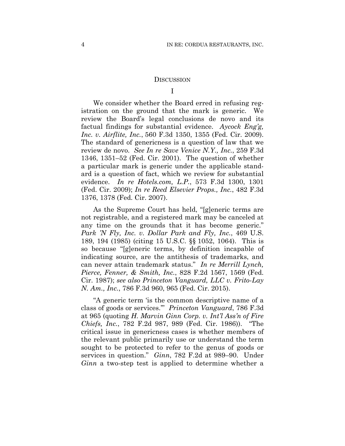#### **DISCUSSION**

## I

We consider whether the Board erred in refusing registration on the ground that the mark is generic. We review the Board's legal conclusions de novo and its factual findings for substantial evidence. *Aycock Eng'g, Inc. v. Airflite, Inc.*, 560 F.3d 1350, 1355 (Fed. Cir. 2009). The standard of genericness is a question of law that we review de novo. *See In re Save Venice N.Y., Inc.*, 259 F.3d 1346, 1351–52 (Fed. Cir. 2001). The question of whether a particular mark is generic under the applicable standard is a question of fact, which we review for substantial evidence. *In re Hotels.com, L.P.*, 573 F.3d 1300, 1301 (Fed. Cir. 2009); *In re Reed Elsevier Props., Inc.*, 482 F.3d 1376, 1378 (Fed. Cir. 2007).

As the Supreme Court has held, "[g]eneric terms are not registrable, and a registered mark may be canceled at any time on the grounds that it has become generic." *Park 'N Fly, Inc. v. Dollar Park and Fly, Inc.*, 469 U.S. 189, 194 (1985) (citing 15 U.S.C. §§ 1052, 1064). This is so because "[g]eneric terms, by definition incapable of indicating source, are the antithesis of trademarks, and can never attain trademark status." *In re Merrill Lynch, Pierce, Fenner, & Smith, Inc.*, 828 F.2d 1567, 1569 (Fed. Cir. 1987); *see also Princeton Vanguard, LLC v. Frito-Lay N. Am., Inc.*, 786 F.3d 960, 965 (Fed. Cir. 2015).

"A generic term 'is the common descriptive name of a class of goods or services.'" *Princeton Vanguard*, 786 F.3d at 965 (quoting *H. Marvin Ginn Corp. v. Int'l Ass'n of Fire Chiefs, Inc.*, 782 F.2d 987, 989 (Fed. Cir. 1986)). "The critical issue in genericness cases is whether members of the relevant public primarily use or understand the term sought to be protected to refer to the genus of goods or services in question." *Ginn*, 782 F.2d at 989–90. Under *Ginn* a two-step test is applied to determine whether a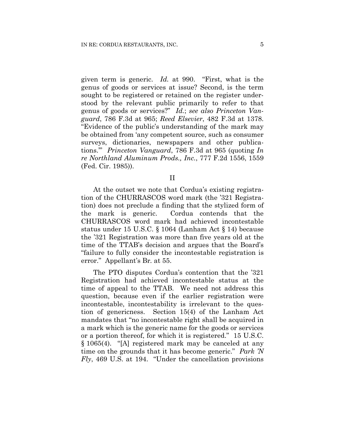given term is generic. *Id.* at 990. "First, what is the genus of goods or services at issue? Second, is the term sought to be registered or retained on the register understood by the relevant public primarily to refer to that genus of goods or services?" *Id.*; *see also Princeton Vanguard*, 786 F.3d at 965; *Reed Elsevier*, 482 F.3d at 1378. "Evidence of the public's understanding of the mark may be obtained from 'any competent source, such as consumer surveys, dictionaries, newspapers and other publications.'" *Princeton Vanguard*, 786 F.3d at 965 (quoting *In re Northland Aluminum Prods., Inc.*, 777 F.2d 1556, 1559 (Fed. Cir. 1985)).

II

At the outset we note that Cordua's existing registration of the CHURRASCOS word mark (the '321 Registration) does not preclude a finding that the stylized form of the mark is generic. Cordua contends that the CHURRASCOS word mark had achieved incontestable status under 15 U.S.C. § 1064 (Lanham Act § 14) because the '321 Registration was more than five years old at the time of the TTAB's decision and argues that the Board's "failure to fully consider the incontestable registration is error." Appellant's Br*.* at 55.

The PTO disputes Cordua's contention that the '321 Registration had achieved incontestable status at the time of appeal to the TTAB. We need not address this question, because even if the earlier registration were incontestable, incontestability is irrelevant to the question of genericness. Section 15(4) of the Lanham Act mandates that "no incontestable right shall be acquired in a mark which is the generic name for the goods or services or a portion thereof, for which it is registered." 15 U.S.C. § 1065(4). "[A] registered mark may be canceled at any time on the grounds that it has become generic." *Park 'N Fly*, 469 U.S. at 194. "Under the cancellation provisions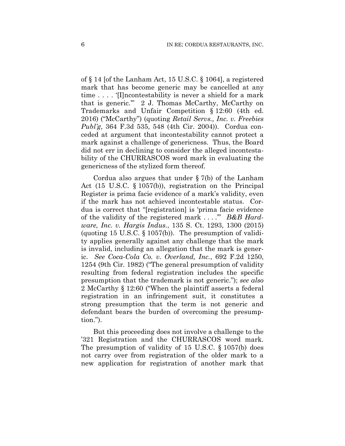of § 14 [of the Lanham Act, 15 U.S.C. § 1064], a registered mark that has become generic may be cancelled at any time . . . . '[I]ncontestability is never a shield for a mark that is generic.'" 2 J. Thomas McCarthy, McCarthy on Trademarks and Unfair Competition § 12:60 (4th ed. 2016) ("McCarthy") (quoting *Retail Servs., Inc. v. Freebies Publ'g*, 364 F.3d 535, 548 (4th Cir. 2004)). Cordua conceded at argument that incontestability cannot protect a mark against a challenge of genericness. Thus, the Board did not err in declining to consider the alleged incontestability of the CHURRASCOS word mark in evaluating the genericness of the stylized form thereof.

Cordua also argues that under § 7(b) of the Lanham Act (15 U.S.C. § 1057(b)), registration on the Principal Register is prima facie evidence of a mark's validity, even if the mark has not achieved incontestable status. Cordua is correct that "[registration] is 'prima facie evidence of the validity of the registered mark . . . .'" *B&B Hardware, Inc. v. Hargis Indus.*, 135 S. Ct. 1293, 1300 (2015) (quoting 15 U.S.C.  $\S 1057(b)$ ). The presumption of validity applies generally against any challenge that the mark is invalid, including an allegation that the mark is generic. *See Coca-Cola Co. v. Overland, Inc.*, 692 F.2d 1250, 1254 (9th Cir. 1982) ("The general presumption of validity resulting from federal registration includes the specific presumption that the trademark is not generic."); *see also*  2 McCarthy § 12:60 ("When the plaintiff asserts a federal registration in an infringement suit, it constitutes a strong presumption that the term is not generic and defendant bears the burden of overcoming the presumption.").

But this proceeding does not involve a challenge to the '321 Registration and the CHURRASCOS word mark. The presumption of validity of 15 U.S.C. § 1057(b) does not carry over from registration of the older mark to a new application for registration of another mark that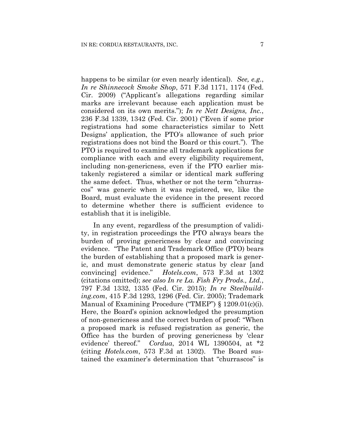happens to be similar (or even nearly identical). *See, e.g.*, *In re Shinnecock Smoke Shop*, 571 F.3d 1171, 1174 (Fed. Cir. 2009) ("Applicant's allegations regarding similar marks are irrelevant because each application must be considered on its own merits."); *In re Nett Designs, Inc.*, 236 F.3d 1339, 1342 (Fed. Cir. 2001) ("Even if some prior registrations had some characteristics similar to Nett Designs' application, the PTO's allowance of such prior registrations does not bind the Board or this court."). The PTO is required to examine all trademark applications for compliance with each and every eligibility requirement, including non-genericness, even if the PTO earlier mistakenly registered a similar or identical mark suffering the same defect. Thus, whether or not the term "churrascos" was generic when it was registered, we, like the Board, must evaluate the evidence in the present record to determine whether there is sufficient evidence to establish that it is ineligible.

In any event, regardless of the presumption of validity, in registration proceedings the PTO always bears the burden of proving genericness by clear and convincing evidence. "The Patent and Trademark Office (PTO) bears the burden of establishing that a proposed mark is generic, and must demonstrate generic status by clear [and convincing] evidence." *Hotels.com*, 573 F.3d at 1302 (citations omitted); *see also In re La. Fish Fry Prods., Ltd.*, 797 F.3d 1332, 1335 (Fed. Cir. 2015); *In re Steelbuilding.com*, 415 F.3d 1293, 1296 (Fed. Cir. 2005); Trademark Manual of Examining Procedure ("TMEP") § 1209.01(c)(i). Here, the Board's opinion acknowledged the presumption of non-genericness and the correct burden of proof: "When a proposed mark is refused registration as generic, the Office has the burden of proving genericness by 'clear evidence' thereof." *Cordua*, 2014 WL 1390504, at \*2 (citing *Hotels.com*, 573 F.3d at 1302). The Board sustained the examiner's determination that "churrascos" is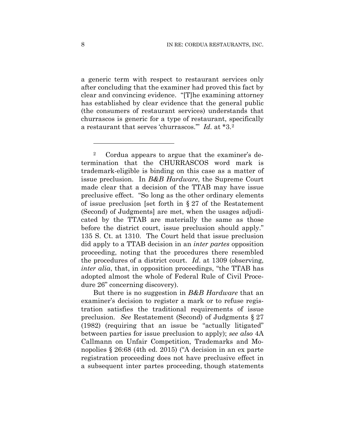a generic term with respect to restaurant services only after concluding that the examiner had proved this fact by clear and convincing evidence. "[T]he examining attorney has established by clear evidence that the general public (the consumers of restaurant services) understands that churrascos is generic for a type of restaurant, specifically a restaurant that serves 'churrascos.'" *Id.* at \*3.2

But there is no suggestion in *B&B Hardware* that an examiner's decision to register a mark or to refuse registration satisfies the traditional requirements of issue preclusion. *See* Restatement (Second) of Judgments § 27 (1982) (requiring that an issue be "actually litigated" between parties for issue preclusion to apply); *see also* 4A Callmann on Unfair Competition, Trademarks and Monopolies § 26:68 (4th ed. 2015) ("A decision in an ex parte registration proceeding does not have preclusive effect in a subsequent inter partes proceeding, though statements

1

<sup>2</sup> Cordua appears to argue that the examiner's determination that the CHURRASCOS word mark is trademark-eligible is binding on this case as a matter of issue preclusion. In *B&B Hardware*, the Supreme Court made clear that a decision of the TTAB may have issue preclusive effect. "So long as the other ordinary elements of issue preclusion [set forth in § 27 of the Restatement (Second) of Judgments] are met, when the usages adjudicated by the TTAB are materially the same as those before the district court, issue preclusion should apply." 135 S. Ct. at 1310. The Court held that issue preclusion did apply to a TTAB decision in an *inter partes* opposition proceeding, noting that the procedures there resembled the procedures of a district court. *Id*. at 1309 (observing, *inter alia*, that, in opposition proceedings, "the TTAB has adopted almost the whole of Federal Rule of Civil Procedure 26" concerning discovery).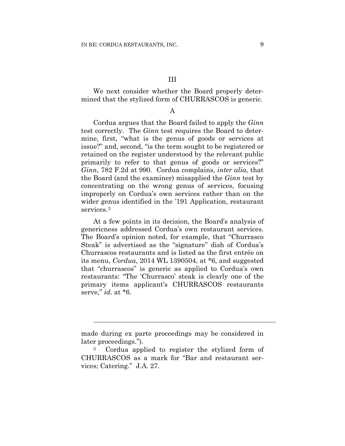We next consider whether the Board properly determined that the stylized form of CHURRASCOS is generic.

## A

Cordua argues that the Board failed to apply the *Ginn* test correctly. The *Ginn* test requires the Board to determine, first, "what is the genus of goods or services at issue?" and, second, "is the term sought to be registered or retained on the register understood by the relevant public primarily to refer to that genus of goods or services?" *Ginn*, 782 F.2d at 990. Cordua complains, *inter alia*, that the Board (and the examiner) misapplied the *Ginn* test by concentrating on the wrong genus of services, focusing improperly on Cordua's own services rather than on the wider genus identified in the '191 Application, restaurant services.<sup>3</sup>

At a few points in its decision, the Board's analysis of genericness addressed Cordua's own restaurant services. The Board's opinion noted, for example, that "Churrasco Steak" is advertised as the "signature" dish of Cordua's Churrascos restaurants and is listed as the first entrée on its menu, *Cordua*, 2014 WL 1390504, at \*6, and suggested that "churrascos" is generic as applied to Cordua's own restaurants: "The 'Churrasco' steak is clearly one of the primary items applicant's CHURRASCOS restaurants serve," *id.* at \*6.

 $\overline{a}$ 

made during ex parte proceedings may be considered in later proceedings.").

<sup>3</sup> Cordua applied to register the stylized form of CHURRASCOS as a mark for "Bar and restaurant services; Catering." J.A. 27.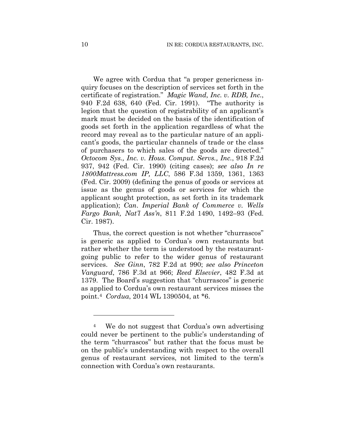We agree with Cordua that "a proper genericness inquiry focuses on the description of services set forth in the certificate of registration." *Magic Wand, Inc. v. RDB, Inc.*, 940 F.2d 638, 640 (Fed. Cir. 1991). "The authority is legion that the question of registrability of an applicant's mark must be decided on the basis of the identification of goods set forth in the application regardless of what the record may reveal as to the particular nature of an applicant's goods, the particular channels of trade or the class of purchasers to which sales of the goods are directed." *Octocom Sys., Inc. v. Hous. Comput. Servs., Inc.*, 918 F.2d 937, 942 (Fed. Cir. 1990) (citing cases); *see also In re 1800Mattress.com IP, LLC*, 586 F.3d 1359, 1361, 1363 (Fed. Cir. 2009) (defining the genus of goods or services at issue as the genus of goods or services for which the applicant sought protection, as set forth in its trademark application); *Can*. *Imperial Bank of Commerce v. Wells Fargo Bank, Nat'l Ass'n*, 811 F.2d 1490, 1492–93 (Fed. Cir. 1987).

Thus, the correct question is not whether "churrascos" is generic as applied to Cordua's own restaurants but rather whether the term is understood by the restaurantgoing public to refer to the wider genus of restaurant services. *See Ginn*, 782 F.2d at 990; *see also Princeton Vanguard*, 786 F.3d at 966; *Reed Elsevier*, 482 F.3d at 1379. The Board's suggestion that "churrascos" is generic as applied to Cordua's own restaurant services misses the point.4 *Cordua*, 2014 WL 1390504, at \*6.

1

<sup>4</sup> We do not suggest that Cordua's own advertising could never be pertinent to the public's understanding of the term "churrascos" but rather that the focus must be on the public's understanding with respect to the overall genus of restaurant services, not limited to the term's connection with Cordua's own restaurants.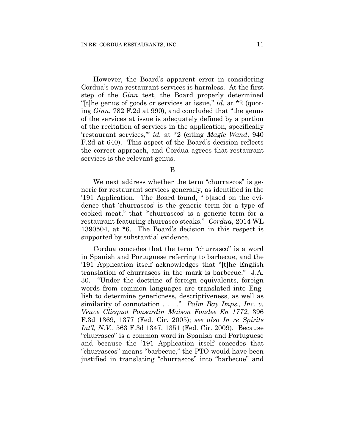However, the Board's apparent error in considering Cordua's own restaurant services is harmless. At the first step of the *Ginn* test, the Board properly determined "[t]he genus of goods or services at issue," *id.* at \*2 (quoting *Ginn*, 782 F.2d at 990), and concluded that "the genus of the services at issue is adequately defined by a portion of the recitation of services in the application, specifically 'restaurant services,'" *id.* at \*2 (citing *Magic Wand*, 940 F.2d at 640). This aspect of the Board's decision reflects the correct approach, and Cordua agrees that restaurant services is the relevant genus.

B

We next address whether the term "churrascos" is generic for restaurant services generally, as identified in the '191 Application. The Board found, "[b]ased on the evidence that 'churrascos' is the generic term for a type of cooked meat," that "'churrascos' is a generic term for a restaurant featuring churrasco steaks." *Cordua*, 2014 WL 1390504, at \*6. The Board's decision in this respect is supported by substantial evidence.

Cordua concedes that the term "churrasco" is a word in Spanish and Portuguese referring to barbecue, and the '191 Application itself acknowledges that "[t]he English translation of churrascos in the mark is barbecue." J.A. 30. "Under the doctrine of foreign equivalents, foreign words from common languages are translated into English to determine genericness, descriptiveness, as well as similarity of connotation . . . ." *Palm Bay Imps., Inc. v. Veuve Clicquot Ponsardin Maison Fondee En 1772*, 396 F.3d 1369, 1377 (Fed. Cir. 2005); *see also In re Spirits Int'l, N.V.*, 563 F.3d 1347, 1351 (Fed. Cir. 2009). Because "churrasco" is a common word in Spanish and Portuguese and because the '191 Application itself concedes that "churrascos" means "barbecue," the PTO would have been justified in translating "churrascos" into "barbecue" and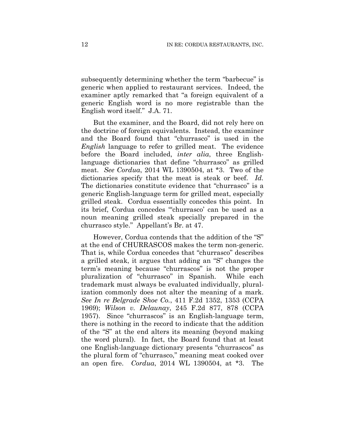subsequently determining whether the term "barbecue" is generic when applied to restaurant services. Indeed, the examiner aptly remarked that "a foreign equivalent of a generic English word is no more registrable than the English word itself." J.A. 71.

But the examiner, and the Board, did not rely here on the doctrine of foreign equivalents. Instead, the examiner and the Board found that "churrasco" is used in the *English* language to refer to grilled meat. The evidence before the Board included, *inter alia*, three Englishlanguage dictionaries that define "churrasco" as grilled meat. *See Cordua*, 2014 WL 1390504, at \*3. Two of the dictionaries specify that the meat is steak or beef. *Id.*  The dictionaries constitute evidence that "churrasco" is a generic English-language term for grilled meat, especially grilled steak. Cordua essentially concedes this point. In its brief, Cordua concedes "'churrasco' can be used as a noun meaning grilled steak specially prepared in the churrasco style." Appellant's Br. at 47.

However, Cordua contends that the addition of the "S" at the end of CHURRASCOS makes the term non-generic. That is, while Cordua concedes that "churrasco" describes a grilled steak, it argues that adding an "S" changes the term's meaning because "churrascos" is not the proper pluralization of "churrasco" in Spanish. While each trademark must always be evaluated individually, pluralization commonly does not alter the meaning of a mark. *See In re Belgrade Shoe Co.*, 411 F.2d 1352, 1353 (CCPA 1969); *Wilson v. Delaunay*, 245 F.2d 877, 878 (CCPA 1957). Since "churrascos" is an English-language term, there is nothing in the record to indicate that the addition of the "S" at the end alters its meaning (beyond making the word plural). In fact, the Board found that at least one English-language dictionary presents "churrascos" as the plural form of "churrasco," meaning meat cooked over an open fire. *Cordua*, 2014 WL 1390504, at \*3. The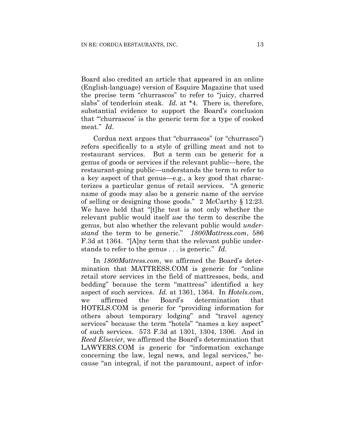Board also credited an article that appeared in an online (English-language) version of Esquire Magazine that used the precise term "churrascos" to refer to "juicy, charred slabs" of tenderloin steak. *Id.* at \*4. There is, therefore, substantial evidence to support the Board's conclusion that "'churrascos' is the generic term for a type of cooked meat." *Id*.

Cordua next argues that "churrascos" (or "churrasco") refers specifically to a style of grilling meat and not to restaurant services. But a term can be generic for a genus of goods or services if the relevant public—here, the restaurant-going public—understands the term to refer to a key aspect of that genus—e.g., a key good that characterizes a particular genus of retail services. "A generic name of goods may also be a generic name of the service of selling or designing those goods." 2 McCarthy § 12:23. We have held that "[t]he test is not only whether the relevant public would itself *use* the term to describe the genus, but also whether the relevant public would *understand* the term to be generic." *1800Mattress.com*, 586 F.3d at 1364. "[A]ny term that the relevant public understands to refer to the genus . . . is generic." *Id.* 

In *1800Mattress.com*, we affirmed the Board's determination that MATTRESS.COM is generic for "online retail store services in the field of mattresses, beds, and bedding" because the term "mattress" identified a key aspect of such services. *Id.* at 1361, 1364. In *Hotels.com*, we affirmed the Board's determination that HOTELS.COM is generic for "providing information for others about temporary lodging" and "travel agency services" because the term "hotels" "names a key aspect" of such services. 573 F.3d at 1301, 1304, 1306. And in *Reed Elsevier*, we affirmed the Board's determination that LAWYERS.COM is generic for "information exchange concerning the law, legal news, and legal services," because "an integral, if not the paramount, aspect of infor-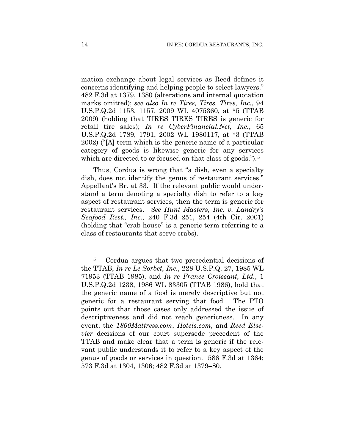mation exchange about legal services as Reed defines it concerns identifying and helping people to select lawyers." 482 F.3d at 1379, 1380 (alterations and internal quotation marks omitted); *see also In re Tires, Tires, Tires, Inc.*, 94 U.S.P.Q.2d 1153, 1157, 2009 WL 4075360, at \*5 (TTAB 2009) (holding that TIRES TIRES TIRES is generic for retail tire sales); *In re CyberFinancial.Net, Inc.*, 65 U.S.P.Q.2d 1789, 1791, 2002 WL 1980117, at \*3 (TTAB 2002) ("[A] term which is the generic name of a particular category of goods is likewise generic for any services which are directed to or focused on that class of goods.").<sup>5</sup>

Thus, Cordua is wrong that "a dish, even a specialty dish, does not identify the genus of restaurant services." Appellant's Br. at 33. If the relevant public would understand a term denoting a specialty dish to refer to a key aspect of restaurant services, then the term is generic for restaurant services. *See Hunt Masters, Inc. v. Landry's Seafood Rest., Inc.*, 240 F.3d 251, 254 (4th Cir. 2001) (holding that "crab house" is a generic term referring to a class of restaurants that serve crabs).

<u>.</u>

<sup>5</sup> Cordua argues that two precedential decisions of the TTAB, *In re Le Sorbet, Inc.*, 228 U.S.P.Q. 27, 1985 WL 71953 (TTAB 1985), and *In re France Croissant, Ltd.*, 1 U.S.P.Q.2d 1238, 1986 WL 83305 (TTAB 1986), hold that the generic name of a food is merely descriptive but not generic for a restaurant serving that food. The PTO points out that those cases only addressed the issue of descriptiveness and did not reach genericness. In any event, the *1800Mattress.com*, *Hotels.com*, and *Reed Elsevier* decisions of our court supersede precedent of the TTAB and make clear that a term is generic if the relevant public understands it to refer to a key aspect of the genus of goods or services in question. 586 F.3d at 1364; 573 F.3d at 1304, 1306; 482 F.3d at 1379–80.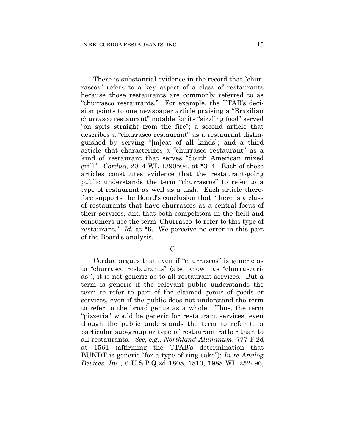There is substantial evidence in the record that "churrascos" refers to a key aspect of a class of restaurants because those restaurants are commonly referred to as "churrasco restaurants*.*" For example, the TTAB's decision points to one newspaper article praising a "Brazilian churrasco restaurant" notable for its "sizzling food" served "on spits straight from the fire"; a second article that describes a "churrasco restaurant" as a restaurant distinguished by serving "[m]eat of all kinds"; and a third article that characterizes a "churrasco restaurant" as a kind of restaurant that serves "South American mixed grill." *Cordua*, 2014 WL 1390504, at \*3–4. Each of these articles constitutes evidence that the restaurant-going public understands the term "churrascos" to refer to a type of restaurant as well as a dish. Each article therefore supports the Board's conclusion that "there is a class of restaurants that have churrascos as a central focus of their services, and that both competitors in the field and consumers use the term 'Churrasco' to refer to this type of restaurant." *Id.* at \*6. We perceive no error in this part of the Board's analysis.

 $\overline{C}$ 

Cordua argues that even if "churrascos" is generic as to "churrasco restaurants" (also known as "churrascarias"), it is not generic as to all restaurant services. But a term is generic if the relevant public understands the term to refer to part of the claimed genus of goods or services, even if the public does not understand the term to refer to the broad genus as a whole. Thus, the term "pizzeria" would be generic for restaurant services, even though the public understands the term to refer to a particular sub-group or type of restaurant rather than to all restaurants. *See, e.g.*, *Northland Aluminum*, 777 F.2d at 1561 (affirming the TTAB's determination that BUNDT is generic "for a type of ring cake"); *In re Analog Devices, Inc.*, 6 U.S.P.Q.2d 1808, 1810, 1988 WL 252496,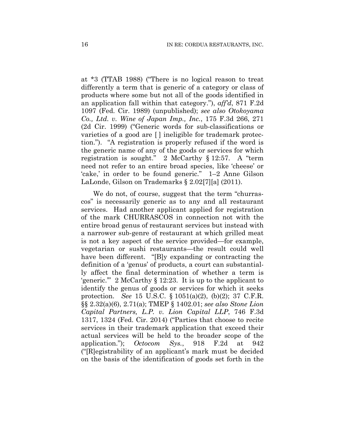at \*3 (TTAB 1988) ("There is no logical reason to treat differently a term that is generic of a category or class of products where some but not all of the goods identified in an application fall within that category."), *aff'd*, 871 F.2d 1097 (Fed. Cir. 1989) (unpublished); *see also Otokoyama Co., Ltd. v. Wine of Japan Imp., Inc.*, 175 F.3d 266, 271 (2d Cir. 1999) ("Generic words for sub-classifications or varieties of a good are [ ] ineligible for trademark protection."). "A registration is properly refused if the word is the generic name of any of the goods or services for which registration is sought." 2 McCarthy § 12:57. A "term need not refer to an entire broad species, like 'cheese' or 'cake,' in order to be found generic." 1–2 Anne Gilson LaLonde, Gilson on Trademarks § 2.02[7][a] (2011).

We do not, of course, suggest that the term "churrascos" is necessarily generic as to any and all restaurant services. Had another applicant applied for registration of the mark CHURRASCOS in connection not with the entire broad genus of restaurant services but instead with a narrower sub-genre of restaurant at which grilled meat is not a key aspect of the service provided—for example, vegetarian or sushi restaurants—the result could well have been different. "[B]y expanding or contracting the definition of a 'genus' of products, a court can substantially affect the final determination of whether a term is 'generic.'" 2 McCarthy § 12:23. It is up to the applicant to identify the genus of goods or services for which it seeks protection. *See* 15 U.S.C. § 1051(a)(2), (b)(2); 37 C.F.R. §§ 2.32(a)(6), 2.71(a); TMEP § 1402.01; *see also Stone Lion Capital Partners, L.P. v. Lion Capital LLP*, 746 F.3d 1317, 1324 (Fed. Cir. 2014) ("Parties that choose to recite services in their trademark application that exceed their actual services will be held to the broader scope of the application."); *Octocom Sys.*, 918 F.2d at 942 ("[R]egistrability of an applicant's mark must be decided on the basis of the identification of goods set forth in the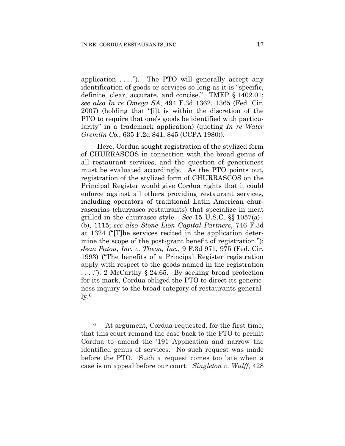application  $\dots$ "). The PTO will generally accept any identification of goods or services so long as it is "specific, definite, clear, accurate, and concise." TMEP § 1402.01; *see also In re Omega SA*, 494 F.3d 1362, 1365 (Fed. Cir. 2007) (holding that "[i]t is within the discretion of the PTO to require that one's goods be identified with particularity" in a trademark application) (quoting *In re Water Gremlin Co.*, 635 F.2d 841, 845 (CCPA 1980)).

 Here, Cordua sought registration of the stylized form of CHURRASCOS in connection with the broad genus of all restaurant services, and the question of genericness must be evaluated accordingly. As the PTO points out, registration of the stylized form of CHURRASCOS on the Principal Register would give Cordua rights that it could enforce against all others providing restaurant services, including operators of traditional Latin American churrascarias (churrasco restaurants) that specialize in meat grilled in the churrasco style. *See* 15 U.S.C. §§ 1057(a)– (b), 1115; *see also Stone Lion Capital Partners*, 746 F.3d at 1324 ("[T]he services recited in the application determine the scope of the post-grant benefit of registration."); *Jean Patou, Inc. v. Theon, Inc.*, 9 F.3d 971, 975 (Fed. Cir. 1993) ("The benefits of a Principal Register registration apply with respect to the goods named in the registration  $\dots$  ."); 2 McCarthy § 24:65. By seeking broad protection for its mark, Cordua obliged the PTO to direct its genericness inquiry to the broad category of restaurants general- $\rm ly.6$ 

1

<sup>6</sup> At argument, Cordua requested, for the first time, that this court remand the case back to the PTO to permit Cordua to amend the '191 Application and narrow the identified genus of services. No such request was made before the PTO. Such a request comes too late when a case is on appeal before our court. *Singleton v. Wulff*, 428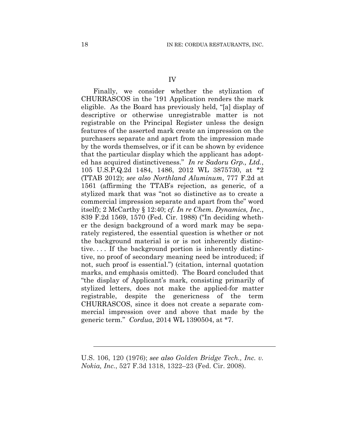Finally, we consider whether the stylization of CHURRASCOS in the '191 Application renders the mark eligible. As the Board has previously held, "[a] display of descriptive or otherwise unregistrable matter is not registrable on the Principal Register unless the design features of the asserted mark create an impression on the purchasers separate and apart from the impression made by the words themselves, or if it can be shown by evidence that the particular display which the applicant has adopted has acquired distinctiveness." *In re Sadoru Grp., Ltd.*, 105 U.S.P.Q.2d 1484, 1486, 2012 WL 3875730, at \*2 (TTAB 2012); *see also Northland Aluminum*, 777 F.2d at 1561 (affirming the TTAB's rejection, as generic, of a stylized mark that was "not so distinctive as to create a commercial impression separate and apart from the" word itself); 2 McCarthy § 12:40; *cf. In re Chem. Dynamics, Inc*., 839 F.2d 1569, 1570 (Fed. Cir. 1988) ("In deciding whether the design background of a word mark may be separately registered, the essential question is whether or not the background material is or is not inherently distinctive. . . . If the background portion is inherently distinctive, no proof of secondary meaning need be introduced; if not, such proof is essential.") (citation, internal quotation marks, and emphasis omitted). The Board concluded that "the display of Applicant's mark, consisting primarily of stylized letters, does not make the applied-for matter registrable, despite the genericness of the term CHURRASCOS, since it does not create a separate commercial impression over and above that made by the generic term." *Cordua*, 2014 WL 1390504, at \*7.

U.S. 106, 120 (1976); *see also Golden Bridge Tech., Inc. v. Nokia, Inc.*, 527 F.3d 1318, 1322–23 (Fed. Cir. 2008).

 $\overline{a}$